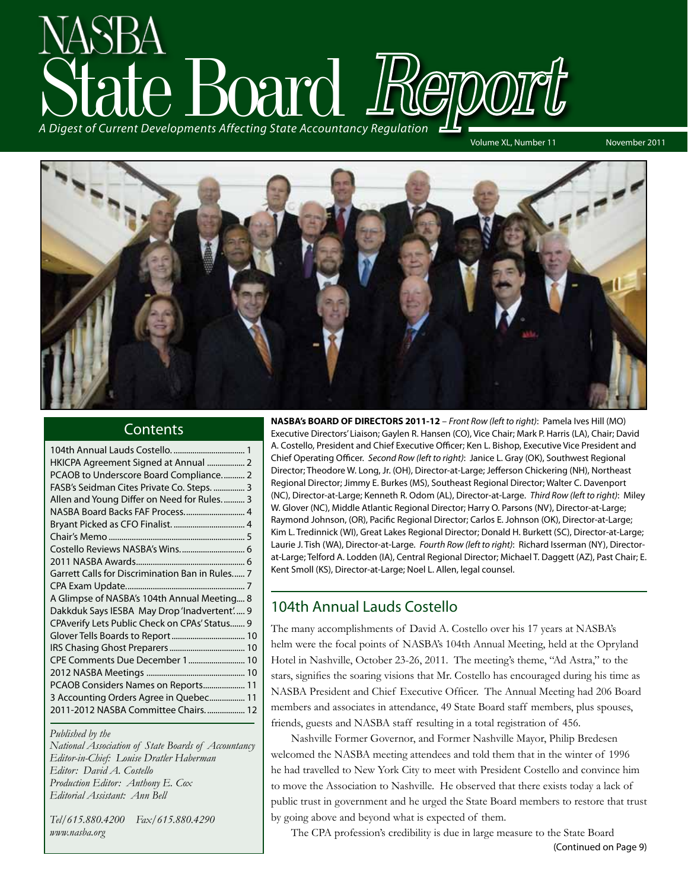# State Board Report of Current Developments Affecting State Accountancy Regulation

Volume XL, Number 11 November 2011



### **Contents**

| HKICPA Agreement Signed at Annual  2            |
|-------------------------------------------------|
| PCAOB to Underscore Board Compliance 2          |
| FASB's Seidman Cites Private Co. Steps.  3      |
| Allen and Young Differ on Need for Rules.  3    |
| NASBA Board Backs FAF Process 4                 |
|                                                 |
|                                                 |
| Costello Reviews NASBA's Wins 6                 |
|                                                 |
| Garrett Calls for Discrimination Ban in Rules 7 |
|                                                 |
| A Glimpse of NASBA's 104th Annual Meeting 8     |
| Dakkduk Says IESBA May Drop 'Inadvertent' 9     |
| CPAverify Lets Public Check on CPAs' Status 9   |
|                                                 |
|                                                 |
| CPE Comments Due December 1 10                  |
|                                                 |
| PCAOB Considers Names on Reports 11             |
| 3 Accounting Orders Agree in Quebec 11          |
| 2011-2012 NASBA Committee Chairs 12             |
|                                                 |

### *Published by the*

*National Association of State Boards of Accountancy Editor-in-Chief: Louise Dratler Haberman Editor: David A. Costello Production Editor: Anthony E. Cox Editorial Assistant: Ann Bell* 

*Tel/615.880.4200 Fax/615.880.4290 www.nasba.org*

**NASBA's BOARD OF DIRECTORS 2011-12** – *Front Row (left to right)*: Pamela Ives Hill (MO) Executive Directors' Liaison; Gaylen R. Hansen (CO), Vice Chair; Mark P. Harris (LA), Chair; David A. Costello, President and Chief Executive Officer; Ken L. Bishop, Executive Vice President and Chief Operating Officer. *Second Row (left to right)*: Janice L. Gray (OK), Southwest Regional Director; Theodore W. Long, Jr. (OH), Director-at-Large; Jefferson Chickering (NH), Northeast Regional Director; Jimmy E. Burkes (MS), Southeast Regional Director; Walter C. Davenport (NC), Director-at-Large; Kenneth R. Odom (AL), Director-at-Large. *Third Row (left to right)*: Miley W. Glover (NC), Middle Atlantic Regional Director; Harry O. Parsons (NV), Director-at-Large; Raymond Johnson, (OR), Pacific Regional Director; Carlos E. Johnson (OK), Director-at-Large; Kim L. Tredinnick (WI), Great Lakes Regional Director; Donald H. Burkett (SC), Director-at-Large; Laurie J. Tish (WA), Director-at-Large. *Fourth Row (left to right)*: Richard Isserman (NY), Directorat-Large; Telford A. Lodden (IA), Central Regional Director; Michael T. Daggett (AZ), Past Chair; E. Kent Smoll (KS), Director-at-Large; Noel L. Allen, legal counsel.

### 104th Annual Lauds Costello

The many accomplishments of David A. Costello over his 17 years at NASBA's helm were the focal points of NASBA's 104th Annual Meeting, held at the Opryland Hotel in Nashville, October 23-26, 2011. The meeting's theme, "Ad Astra," to the stars, signifies the soaring visions that Mr. Costello has encouraged during his time as NASBA President and Chief Executive Officer. The Annual Meeting had 206 Board members and associates in attendance, 49 State Board staff members, plus spouses, friends, guests and NASBA staff resulting in a total registration of 456.

Nashville Former Governor, and Former Nashville Mayor, Philip Bredesen welcomed the NASBA meeting attendees and told them that in the winter of 1996 he had travelled to New York City to meet with President Costello and convince him to move the Association to Nashville. He observed that there exists today a lack of public trust in government and he urged the State Board members to restore that trust by going above and beyond what is expected of them.

The CPA profession's credibility is due in large measure to the State Board (Continued on Page 9)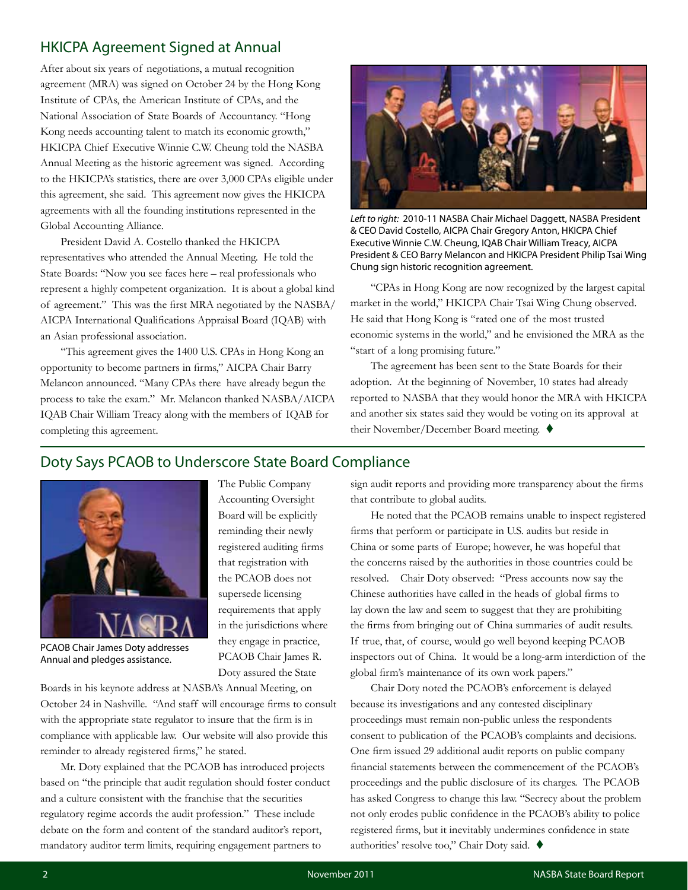### HKICPA Agreement Signed at Annual

After about six years of negotiations, a mutual recognition agreement (MRA) was signed on October 24 by the Hong Kong Institute of CPAs, the American Institute of CPAs, and the National Association of State Boards of Accountancy. "Hong Kong needs accounting talent to match its economic growth," HKICPA Chief Executive Winnie C.W. Cheung told the NASBA Annual Meeting as the historic agreement was signed. According to the HKICPA's statistics, there are over 3,000 CPAs eligible under this agreement, she said. This agreement now gives the HKICPA agreements with all the founding institutions represented in the Global Accounting Alliance.

President David A. Costello thanked the HKICPA representatives who attended the Annual Meeting. He told the State Boards: "Now you see faces here – real professionals who represent a highly competent organization. It is about a global kind of agreement." This was the first MRA negotiated by the NASBA/ AICPA International Qualifications Appraisal Board (IQAB) with an Asian professional association.

"This agreement gives the 1400 U.S. CPAs in Hong Kong an opportunity to become partners in firms," AICPA Chair Barry Melancon announced. "Many CPAs there have already begun the process to take the exam." Mr. Melancon thanked NASBA/AICPA IQAB Chair William Treacy along with the members of IQAB for completing this agreement.



*Left to right:* 2010-11 NASBA Chair Michael Daggett, NASBA President & CEO David Costello, AICPA Chair Gregory Anton, HKICPA Chief Executive Winnie C.W. Cheung, IQAB Chair William Treacy, AICPA President & CEO Barry Melancon and HKICPA President Philip Tsai Wing Chung sign historic recognition agreement.

"CPAs in Hong Kong are now recognized by the largest capital market in the world," HKICPA Chair Tsai Wing Chung observed. He said that Hong Kong is "rated one of the most trusted economic systems in the world," and he envisioned the MRA as the "start of a long promising future."

The agreement has been sent to the State Boards for their adoption. At the beginning of November, 10 states had already reported to NASBA that they would honor the MRA with HKICPA and another six states said they would be voting on its approval at their November/December Board meeting. ♦

## Doty Says PCAOB to Underscore State Board Compliance



PCAOB Chair James Doty addresses Annual and pledges assistance.

Accounting Oversight Board will be explicitly reminding their newly registered auditing firms that registration with the PCAOB does not supersede licensing requirements that apply in the jurisdictions where they engage in practice, PCAOB Chair James R. Doty assured the State

The Public Company

Boards in his keynote address at NASBA's Annual Meeting, on October 24 in Nashville. "And staff will encourage firms to consult with the appropriate state regulator to insure that the firm is in compliance with applicable law. Our website will also provide this reminder to already registered firms," he stated.

Mr. Doty explained that the PCAOB has introduced projects based on "the principle that audit regulation should foster conduct and a culture consistent with the franchise that the securities regulatory regime accords the audit profession." These include debate on the form and content of the standard auditor's report, mandatory auditor term limits, requiring engagement partners to

sign audit reports and providing more transparency about the firms that contribute to global audits.

He noted that the PCAOB remains unable to inspect registered firms that perform or participate in U.S. audits but reside in China or some parts of Europe; however, he was hopeful that the concerns raised by the authorities in those countries could be resolved. Chair Doty observed: "Press accounts now say the Chinese authorities have called in the heads of global firms to lay down the law and seem to suggest that they are prohibiting the firms from bringing out of China summaries of audit results. If true, that, of course, would go well beyond keeping PCAOB inspectors out of China. It would be a long-arm interdiction of the global firm's maintenance of its own work papers."

Chair Doty noted the PCAOB's enforcement is delayed because its investigations and any contested disciplinary proceedings must remain non-public unless the respondents consent to publication of the PCAOB's complaints and decisions. One firm issued 29 additional audit reports on public company financial statements between the commencement of the PCAOB's proceedings and the public disclosure of its charges. The PCAOB has asked Congress to change this law. "Secrecy about the problem not only erodes public confidence in the PCAOB's ability to police registered firms, but it inevitably undermines confidence in state authorities' resolve too," Chair Doty said. ♦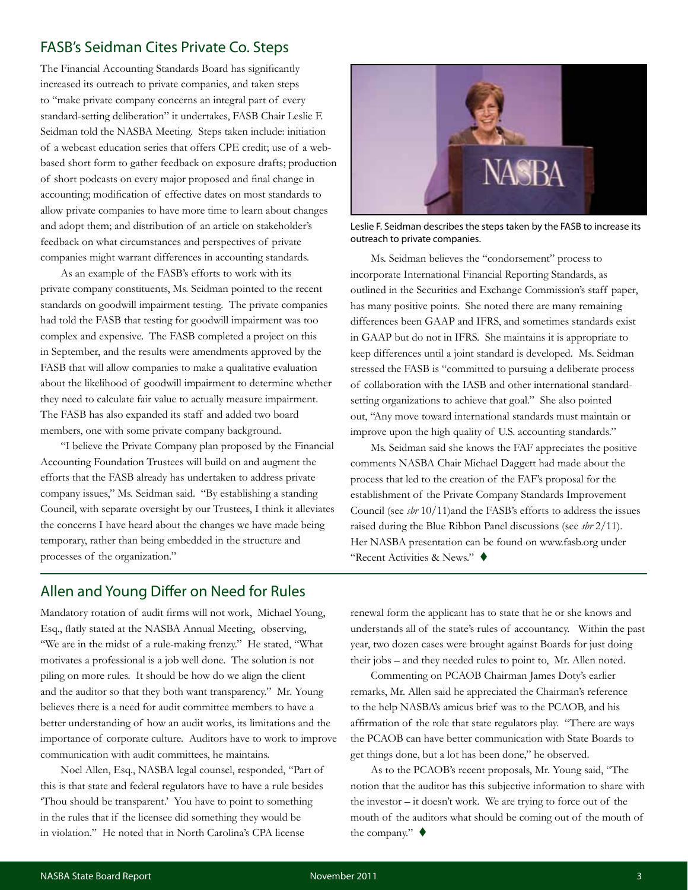### FASB's Seidman Cites Private Co. Steps

The Financial Accounting Standards Board has significantly increased its outreach to private companies, and taken steps to "make private company concerns an integral part of every standard-setting deliberation" it undertakes, FASB Chair Leslie F. Seidman told the NASBA Meeting. Steps taken include: initiation of a webcast education series that offers CPE credit; use of a webbased short form to gather feedback on exposure drafts; production of short podcasts on every major proposed and final change in accounting; modification of effective dates on most standards to allow private companies to have more time to learn about changes and adopt them; and distribution of an article on stakeholder's feedback on what circumstances and perspectives of private companies might warrant differences in accounting standards.

As an example of the FASB's efforts to work with its private company constituents, Ms. Seidman pointed to the recent standards on goodwill impairment testing. The private companies had told the FASB that testing for goodwill impairment was too complex and expensive. The FASB completed a project on this in September, and the results were amendments approved by the FASB that will allow companies to make a qualitative evaluation about the likelihood of goodwill impairment to determine whether they need to calculate fair value to actually measure impairment. The FASB has also expanded its staff and added two board members, one with some private company background.

"I believe the Private Company plan proposed by the Financial Accounting Foundation Trustees will build on and augment the efforts that the FASB already has undertaken to address private company issues," Ms. Seidman said. "By establishing a standing Council, with separate oversight by our Trustees, I think it alleviates the concerns I have heard about the changes we have made being temporary, rather than being embedded in the structure and processes of the organization."



Leslie F. Seidman describes the steps taken by the FASB to increase its outreach to private companies.

Ms. Seidman believes the "condorsement" process to incorporate International Financial Reporting Standards, as outlined in the Securities and Exchange Commission's staff paper, has many positive points. She noted there are many remaining differences been GAAP and IFRS, and sometimes standards exist in GAAP but do not in IFRS. She maintains it is appropriate to keep differences until a joint standard is developed. Ms. Seidman stressed the FASB is "committed to pursuing a deliberate process of collaboration with the IASB and other international standardsetting organizations to achieve that goal." She also pointed out, "Any move toward international standards must maintain or improve upon the high quality of U.S. accounting standards."

Ms. Seidman said she knows the FAF appreciates the positive comments NASBA Chair Michael Daggett had made about the process that led to the creation of the FAF's proposal for the establishment of the Private Company Standards Improvement Council (see *sbr* 10/11)and the FASB's efforts to address the issues raised during the Blue Ribbon Panel discussions (see *sbr* 2/11). Her NASBA presentation can be found on www.fasb.org under "Recent Activities & News."  $\blacklozenge$ 

### Allen and Young Differ on Need for Rules

Mandatory rotation of audit firms will not work, Michael Young, Esq., flatly stated at the NASBA Annual Meeting, observing, "We are in the midst of a rule-making frenzy." He stated, "What motivates a professional is a job well done. The solution is not piling on more rules. It should be how do we align the client and the auditor so that they both want transparency." Mr. Young believes there is a need for audit committee members to have a better understanding of how an audit works, its limitations and the importance of corporate culture. Auditors have to work to improve communication with audit committees, he maintains.

Noel Allen, Esq., NASBA legal counsel, responded, "Part of this is that state and federal regulators have to have a rule besides 'Thou should be transparent.' You have to point to something in the rules that if the licensee did something they would be in violation." He noted that in North Carolina's CPA license

renewal form the applicant has to state that he or she knows and understands all of the state's rules of accountancy. Within the past year, two dozen cases were brought against Boards for just doing their jobs – and they needed rules to point to, Mr. Allen noted.

Commenting on PCAOB Chairman James Doty's earlier remarks, Mr. Allen said he appreciated the Chairman's reference to the help NASBA's amicus brief was to the PCAOB, and his affirmation of the role that state regulators play. "There are ways the PCAOB can have better communication with State Boards to get things done, but a lot has been done," he observed.

As to the PCAOB's recent proposals, Mr. Young said, "The notion that the auditor has this subjective information to share with the investor – it doesn't work. We are trying to force out of the mouth of the auditors what should be coming out of the mouth of the company." $\blacklozenge$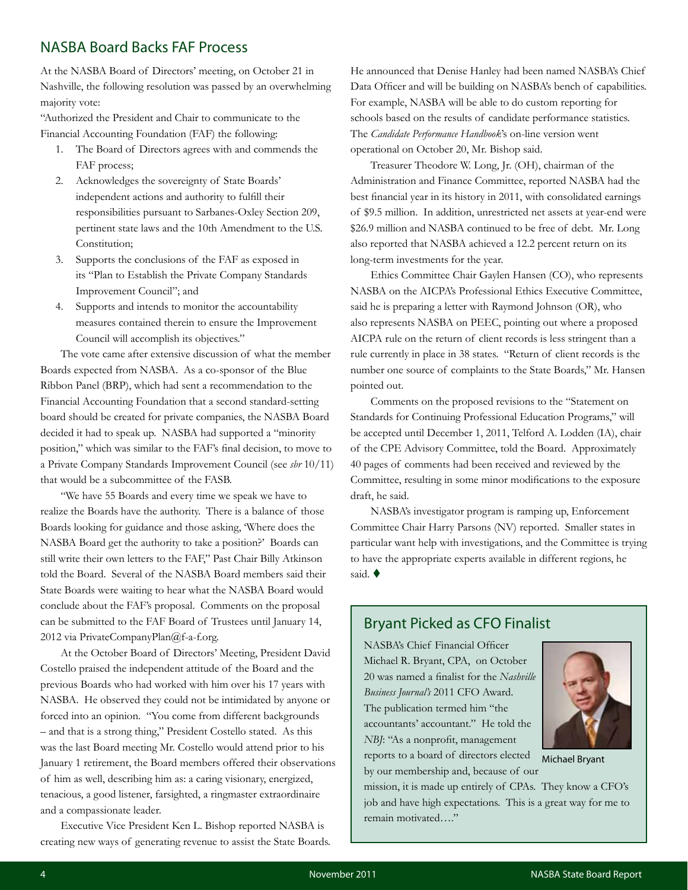### NASBA Board Backs FAF Process

At the NASBA Board of Directors' meeting, on October 21 in Nashville, the following resolution was passed by an overwhelming majority vote:

"Authorized the President and Chair to communicate to the Financial Accounting Foundation (FAF) the following:

- 1. The Board of Directors agrees with and commends the FAF process;
- 2. Acknowledges the sovereignty of State Boards' independent actions and authority to fulfill their responsibilities pursuant to Sarbanes-Oxley Section 209, pertinent state laws and the 10th Amendment to the U.S. Constitution;
- 3. Supports the conclusions of the FAF as exposed in its "Plan to Establish the Private Company Standards Improvement Council"; and
- 4. Supports and intends to monitor the accountability measures contained therein to ensure the Improvement Council will accomplish its objectives."

The vote came after extensive discussion of what the member Boards expected from NASBA. As a co-sponsor of the Blue Ribbon Panel (BRP), which had sent a recommendation to the Financial Accounting Foundation that a second standard-setting board should be created for private companies, the NASBA Board decided it had to speak up. NASBA had supported a "minority position," which was similar to the FAF's final decision, to move to a Private Company Standards Improvement Council (see *sbr* 10/11) that would be a subcommittee of the FASB.

"We have 55 Boards and every time we speak we have to realize the Boards have the authority. There is a balance of those Boards looking for guidance and those asking, 'Where does the NASBA Board get the authority to take a position?' Boards can still write their own letters to the FAF," Past Chair Billy Atkinson told the Board. Several of the NASBA Board members said their State Boards were waiting to hear what the NASBA Board would conclude about the FAF's proposal. Comments on the proposal can be submitted to the FAF Board of Trustees until January 14, 2012 via PrivateCompanyPlan@f-a-f.org.

At the October Board of Directors' Meeting, President David Costello praised the independent attitude of the Board and the previous Boards who had worked with him over his 17 years with NASBA. He observed they could not be intimidated by anyone or forced into an opinion. "You come from different backgrounds – and that is a strong thing," President Costello stated. As this was the last Board meeting Mr. Costello would attend prior to his January 1 retirement, the Board members offered their observations of him as well, describing him as: a caring visionary, energized, tenacious, a good listener, farsighted, a ringmaster extraordinaire and a compassionate leader.

Executive Vice President Ken L. Bishop reported NASBA is creating new ways of generating revenue to assist the State Boards.

He announced that Denise Hanley had been named NASBA's Chief Data Officer and will be building on NASBA's bench of capabilities. For example, NASBA will be able to do custom reporting for schools based on the results of candidate performance statistics. The *Candidate Performance Handbook*'s on-line version went operational on October 20, Mr. Bishop said.

Treasurer Theodore W. Long, Jr. (OH), chairman of the Administration and Finance Committee, reported NASBA had the best financial year in its history in 2011, with consolidated earnings of \$9.5 million. In addition, unrestricted net assets at year-end were \$26.9 million and NASBA continued to be free of debt. Mr. Long also reported that NASBA achieved a 12.2 percent return on its long-term investments for the year.

Ethics Committee Chair Gaylen Hansen (CO), who represents NASBA on the AICPA's Professional Ethics Executive Committee, said he is preparing a letter with Raymond Johnson (OR), who also represents NASBA on PEEC, pointing out where a proposed AICPA rule on the return of client records is less stringent than a rule currently in place in 38 states. "Return of client records is the number one source of complaints to the State Boards," Mr. Hansen pointed out.

Comments on the proposed revisions to the "Statement on Standards for Continuing Professional Education Programs," will be accepted until December 1, 2011, Telford A. Lodden (IA), chair of the CPE Advisory Committee, told the Board. Approximately 40 pages of comments had been received and reviewed by the Committee, resulting in some minor modifications to the exposure draft, he said.

NASBA's investigator program is ramping up, Enforcement Committee Chair Harry Parsons (NV) reported. Smaller states in particular want help with investigations, and the Committee is trying to have the appropriate experts available in different regions, he said.

### Bryant Picked as CFO Finalist

NASBA's Chief Financial Officer Michael R. Bryant, CPA, on October 20 was named a finalist for the *Nashville Business Journal's* 2011 CFO Award. The publication termed him "the accountants' accountant." He told the *NBJ*: "As a nonprofit, management reports to a board of directors elected by our membership and, because of our



Michael Bryant

mission, it is made up entirely of CPAs. They know a CFO's job and have high expectations. This is a great way for me to remain motivated…."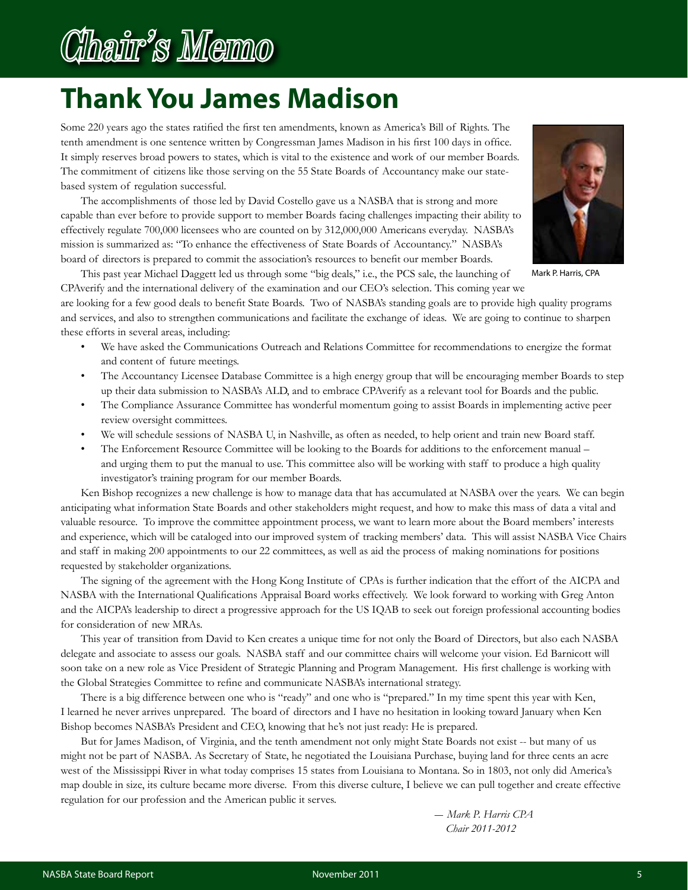

# **Thank You James Madison**

Some 220 years ago the states ratified the first ten amendments, known as America's Bill of Rights. The tenth amendment is one sentence written by Congressman James Madison in his first 100 days in office. It simply reserves broad powers to states, which is vital to the existence and work of our member Boards. The commitment of citizens like those serving on the 55 State Boards of Accountancy make our statebased system of regulation successful.

The accomplishments of those led by David Costello gave us a NASBA that is strong and more capable than ever before to provide support to member Boards facing challenges impacting their ability to effectively regulate 700,000 licensees who are counted on by 312,000,000 Americans everyday. NASBA's mission is summarized as: "To enhance the effectiveness of State Boards of Accountancy." NASBA's board of directors is prepared to commit the association's resources to benefit our member Boards.



Mark P. Harris, CPA

This past year Michael Daggett led us through some "big deals," i.e., the PCS sale, the launching of CPAverify and the international delivery of the examination and our CEO's selection. This coming year we

are looking for a few good deals to benefit State Boards. Two of NASBA's standing goals are to provide high quality programs and services, and also to strengthen communications and facilitate the exchange of ideas. We are going to continue to sharpen these efforts in several areas, including:

- We have asked the Communications Outreach and Relations Committee for recommendations to energize the format and content of future meetings.
- The Accountancy Licensee Database Committee is a high energy group that will be encouraging member Boards to step up their data submission to NASBA's ALD, and to embrace CPAverify as a relevant tool for Boards and the public.
- The Compliance Assurance Committee has wonderful momentum going to assist Boards in implementing active peer review oversight committees.
- We will schedule sessions of NASBA U, in Nashville, as often as needed, to help orient and train new Board staff.
- The Enforcement Resource Committee will be looking to the Boards for additions to the enforcement manual and urging them to put the manual to use. This committee also will be working with staff to produce a high quality investigator's training program for our member Boards.

Ken Bishop recognizes a new challenge is how to manage data that has accumulated at NASBA over the years. We can begin anticipating what information State Boards and other stakeholders might request, and how to make this mass of data a vital and valuable resource. To improve the committee appointment process, we want to learn more about the Board members' interests and experience, which will be cataloged into our improved system of tracking members' data. This will assist NASBA Vice Chairs and staff in making 200 appointments to our 22 committees, as well as aid the process of making nominations for positions requested by stakeholder organizations.

The signing of the agreement with the Hong Kong Institute of CPAs is further indication that the effort of the AICPA and NASBA with the International Qualifications Appraisal Board works effectively. We look forward to working with Greg Anton and the AICPA's leadership to direct a progressive approach for the US IQAB to seek out foreign professional accounting bodies for consideration of new MRAs.

This year of transition from David to Ken creates a unique time for not only the Board of Directors, but also each NASBA delegate and associate to assess our goals. NASBA staff and our committee chairs will welcome your vision. Ed Barnicott will soon take on a new role as Vice President of Strategic Planning and Program Management. His first challenge is working with the Global Strategies Committee to refine and communicate NASBA's international strategy.

There is a big difference between one who is "ready" and one who is "prepared." In my time spent this year with Ken, I learned he never arrives unprepared. The board of directors and I have no hesitation in looking toward January when Ken Bishop becomes NASBA's President and CEO, knowing that he's not just ready: He is prepared.

But for James Madison, of Virginia, and the tenth amendment not only might State Boards not exist -- but many of us might not be part of NASBA. As Secretary of State, he negotiated the Louisiana Purchase, buying land for three cents an acre west of the Mississippi River in what today comprises 15 states from Louisiana to Montana. So in 1803, not only did America's map double in size, its culture became more diverse. From this diverse culture, I believe we can pull together and create effective regulation for our profession and the American public it serves.

> *― Mark P. Harris CPA Chair 2011-2012*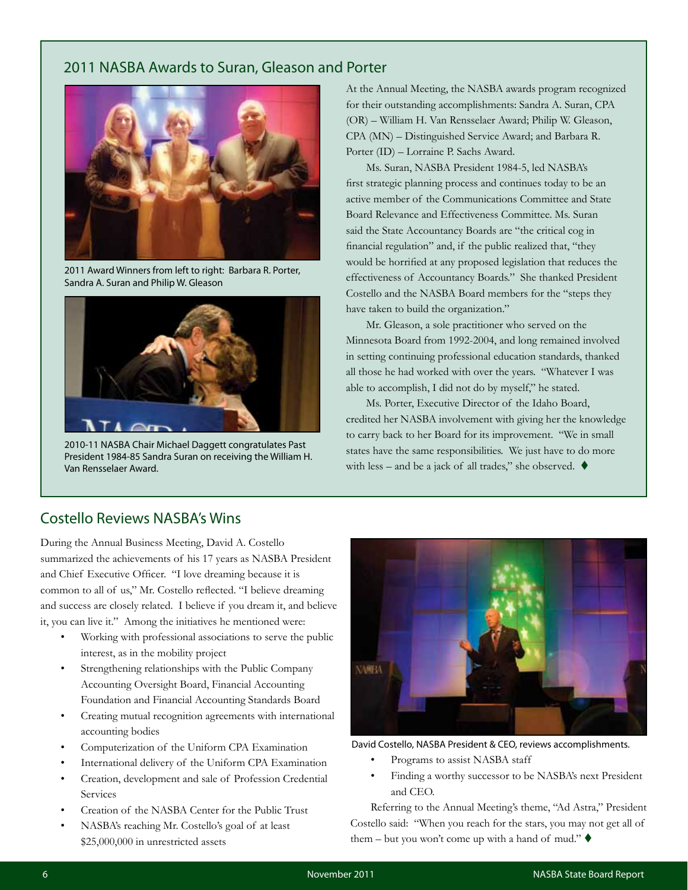### 2011 NASBA Awards to Suran, Gleason and Porter



2011 Award Winners from left to right: Barbara R. Porter, Sandra A. Suran and Philip W. Gleason



2010-11 NASBA Chair Michael Daggett congratulates Past President 1984-85 Sandra Suran on receiving the William H. Van Rensselaer Award.

At the Annual Meeting, the NASBA awards program recognized for their outstanding accomplishments: Sandra A. Suran, CPA (OR) – William H. Van Rensselaer Award; Philip W. Gleason, CPA (MN) – Distinguished Service Award; and Barbara R. Porter (ID) – Lorraine P. Sachs Award.

Ms. Suran, NASBA President 1984-5, led NASBA's first strategic planning process and continues today to be an active member of the Communications Committee and State Board Relevance and Effectiveness Committee. Ms. Suran said the State Accountancy Boards are "the critical cog in financial regulation" and, if the public realized that, "they would be horrified at any proposed legislation that reduces the effectiveness of Accountancy Boards." She thanked President Costello and the NASBA Board members for the "steps they have taken to build the organization."

Mr. Gleason, a sole practitioner who served on the Minnesota Board from 1992-2004, and long remained involved in setting continuing professional education standards, thanked all those he had worked with over the years. "Whatever I was able to accomplish, I did not do by myself," he stated.

Ms. Porter, Executive Director of the Idaho Board, credited her NASBA involvement with giving her the knowledge to carry back to her Board for its improvement. "We in small states have the same responsibilities. We just have to do more with less – and be a jack of all trades," she observed.  $\blacklozenge$ 

### Costello Reviews NASBA's Wins

During the Annual Business Meeting, David A. Costello summarized the achievements of his 17 years as NASBA President and Chief Executive Officer. "I love dreaming because it is common to all of us," Mr. Costello reflected. "I believe dreaming and success are closely related. I believe if you dream it, and believe it, you can live it." Among the initiatives he mentioned were:

- Working with professional associations to serve the public interest, as in the mobility project
- Strengthening relationships with the Public Company Accounting Oversight Board, Financial Accounting Foundation and Financial Accounting Standards Board
- Creating mutual recognition agreements with international accounting bodies
- Computerization of the Uniform CPA Examination
- International delivery of the Uniform CPA Examination
- Creation, development and sale of Profession Credential Services
- Creation of the NASBA Center for the Public Trust
- NASBA's reaching Mr. Costello's goal of at least \$25,000,000 in unrestricted assets



David Costello, NASBA President & CEO, reviews accomplishments.

- Programs to assist NASBA staff
- Finding a worthy successor to be NASBA's next President and CEO.

Referring to the Annual Meeting's theme, "Ad Astra," President Costello said: "When you reach for the stars, you may not get all of them – but you won't come up with a hand of mud."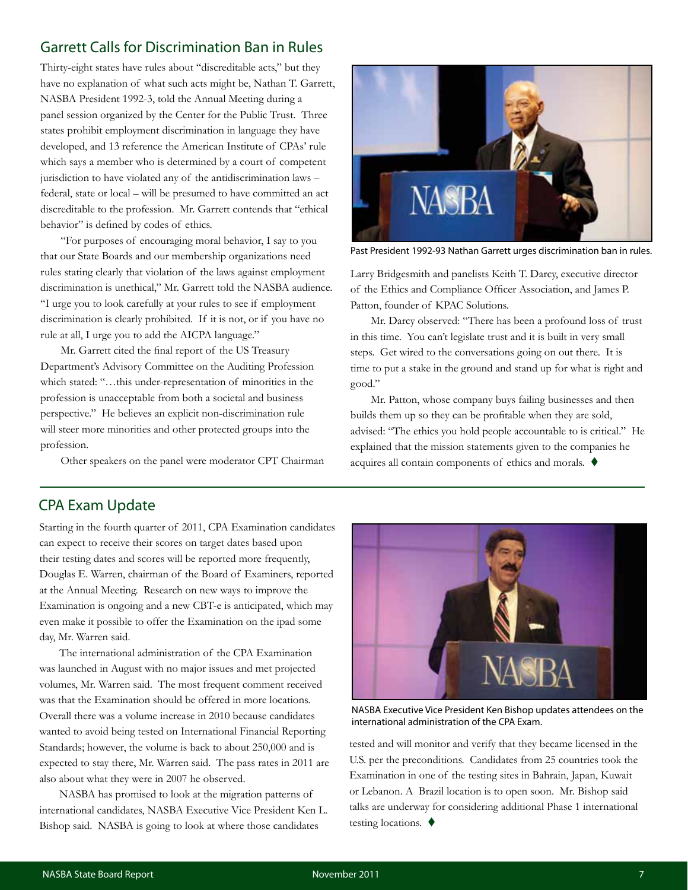### Garrett Calls for Discrimination Ban in Rules

Thirty-eight states have rules about "discreditable acts," but they have no explanation of what such acts might be, Nathan T. Garrett, NASBA President 1992-3, told the Annual Meeting during a panel session organized by the Center for the Public Trust. Three states prohibit employment discrimination in language they have developed, and 13 reference the American Institute of CPAs' rule which says a member who is determined by a court of competent jurisdiction to have violated any of the antidiscrimination laws – federal, state or local – will be presumed to have committed an act discreditable to the profession. Mr. Garrett contends that "ethical behavior" is defined by codes of ethics.

"For purposes of encouraging moral behavior, I say to you that our State Boards and our membership organizations need rules stating clearly that violation of the laws against employment discrimination is unethical," Mr. Garrett told the NASBA audience. "I urge you to look carefully at your rules to see if employment discrimination is clearly prohibited. If it is not, or if you have no rule at all, I urge you to add the AICPA language."

Mr. Garrett cited the final report of the US Treasury Department's Advisory Committee on the Auditing Profession which stated: "…this under-representation of minorities in the profession is unacceptable from both a societal and business perspective." He believes an explicit non-discrimination rule will steer more minorities and other protected groups into the profession.

Other speakers on the panel were moderator CPT Chairman



Past President 1992-93 Nathan Garrett urges discrimination ban in rules.

Larry Bridgesmith and panelists Keith T. Darcy, executive director of the Ethics and Compliance Officer Association, and James P. Patton, founder of KPAC Solutions.

Mr. Darcy observed: "There has been a profound loss of trust in this time. You can't legislate trust and it is built in very small steps. Get wired to the conversations going on out there. It is time to put a stake in the ground and stand up for what is right and good."

Mr. Patton, whose company buys failing businesses and then builds them up so they can be profitable when they are sold, advised: "The ethics you hold people accountable to is critical." He explained that the mission statements given to the companies he acquires all contain components of ethics and morals.  $\blacklozenge$ 

### CPA Exam Update

Starting in the fourth quarter of 2011, CPA Examination candidates can expect to receive their scores on target dates based upon their testing dates and scores will be reported more frequently, Douglas E. Warren, chairman of the Board of Examiners, reported at the Annual Meeting. Research on new ways to improve the Examination is ongoing and a new CBT-e is anticipated, which may even make it possible to offer the Examination on the ipad some day, Mr. Warren said.

The international administration of the CPA Examination was launched in August with no major issues and met projected volumes, Mr. Warren said. The most frequent comment received was that the Examination should be offered in more locations. Overall there was a volume increase in 2010 because candidates wanted to avoid being tested on International Financial Reporting Standards; however, the volume is back to about 250,000 and is expected to stay there, Mr. Warren said. The pass rates in 2011 are also about what they were in 2007 he observed.

NASBA has promised to look at the migration patterns of international candidates, NASBA Executive Vice President Ken L. Bishop said. NASBA is going to look at where those candidates



NASBA Executive Vice President Ken Bishop updates attendees on the international administration of the CPA Exam.

tested and will monitor and verify that they became licensed in the U.S. per the preconditions. Candidates from 25 countries took the Examination in one of the testing sites in Bahrain, Japan, Kuwait or Lebanon. A Brazil location is to open soon. Mr. Bishop said talks are underway for considering additional Phase 1 international testing locations.  $\blacklozenge$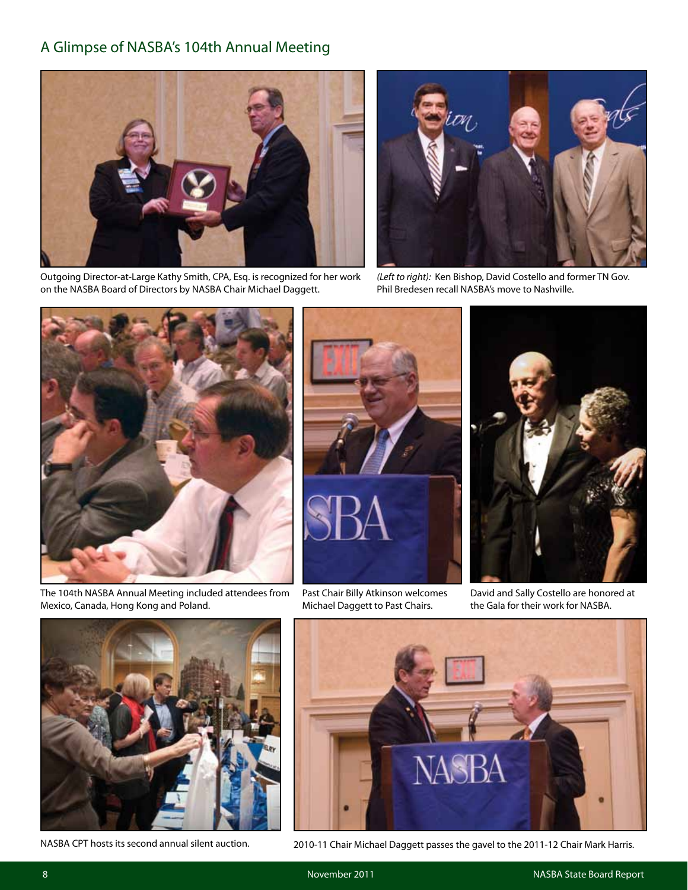### A Glimpse of NASBA's 104th Annual Meeting



Outgoing Director-at-Large Kathy Smith, CPA, Esq. is recognized for her work on the NASBA Board of Directors by NASBA Chair Michael Daggett.



*(Left to right):* Ken Bishop, David Costello and former TN Gov. Phil Bredesen recall NASBA's move to Nashville.



The 104th NASBA Annual Meeting included attendees from Mexico, Canada, Hong Kong and Poland.



Past Chair Billy Atkinson welcomes Michael Daggett to Past Chairs.



David and Sally Costello are honored at the Gala for their work for NASBA.





NASBA CPT hosts its second annual silent auction. 2010-11 Chair Michael Daggett passes the gavel to the 2011-12 Chair Mark Harris.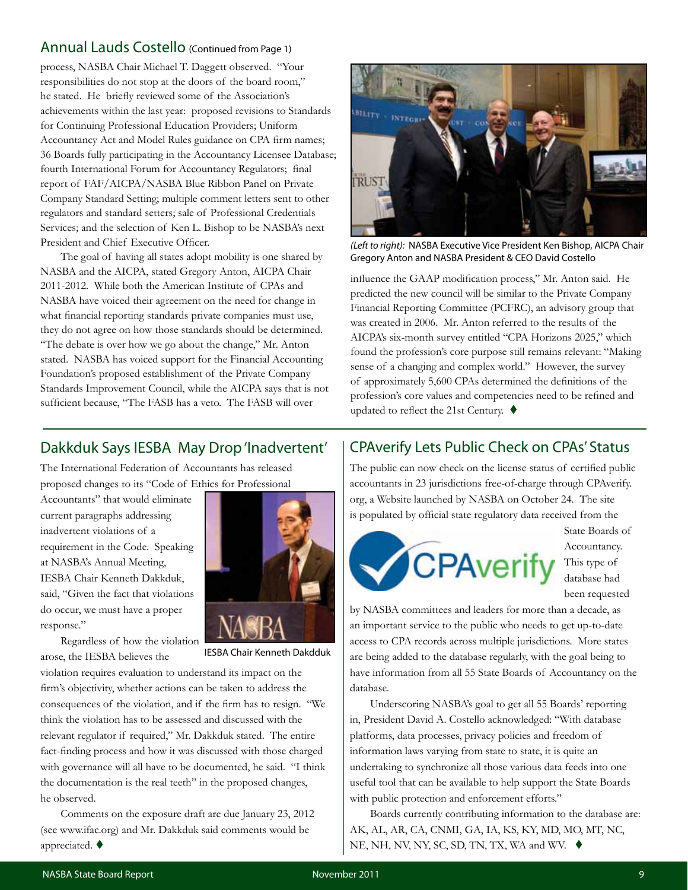### Annual Lauds Costello (Continued from Page 1)

process, NASBA Chair Michael T. Daggett observed. "Your responsibilities do not stop at the doors of the board room," he stated. He briefly reviewed some of the Association's achievements within the last year: proposed revisions to Standards for Continuing Professional Education Providers; Uniform Accountancy Act and Model Rules guidance on CPA firm names; 36 Boards fully participating in the Accountancy Licensee Database; fourth International Forum for Accountancy Regulators; final report of FAF/AICPA/NASBA Blue Ribbon Panel on Private Company Standard Setting; multiple comment letters sent to other regulators and standard setters; sale of Professional Credentials Services; and the selection of Ken L. Bishop to be NASBA's next President and Chief Executive Officer.

The goal of having all states adopt mobility is one shared by NASBA and the AICPA, stated Gregory Anton, AICPA Chair 2011-2012. While both the American Institute of CPAs and NASBA have voiced their agreement on the need for change in what financial reporting standards private companies must use, they do not agree on how those standards should be determined. "The debate is over how we go about the change," Mr. Anton stated. NASBA has voiced support for the Financial Accounting Foundation's proposed establishment of the Private Company Standards Improvement Council, while the AICPA says that is not sufficient because, "The FASB has a veto. The FASB will over



*(Left to right):* NASBA Executive Vice President Ken Bishop, AICPA Chair Gregory Anton and NASBA President & CEO David Costello

influence the GAAP modification process," Mr. Anton said. He predicted the new council will be similar to the Private Company Financial Reporting Committee (PCFRC), an advisory group that was created in 2006. Mr. Anton referred to the results of the AICPA's six-month survey entitled "CPA Horizons 2025," which found the profession's core purpose still remains relevant: "Making sense of a changing and complex world." However, the survey of approximately 5,600 CPAs determined the definitions of the profession's core values and competencies need to be refined and updated to reflect the 21st Century.  $\blacklozenge$ 

### Dakkduk Says IESBA May Drop 'Inadvertent'

The International Federation of Accountants has released proposed changes to its "Code of Ethics for Professional

Accountants" that would eliminate current paragraphs addressing inadvertent violations of a requirement in the Code. Speaking at NASBA's Annual Meeting, IESBA Chair Kenneth Dakkduk, said, "Given the fact that violations do occur, we must have a proper response."



Regardless of how the violation arose, the IESBA believes the

IESBA Chair Kenneth Dakdduk

violation requires evaluation to understand its impact on the firm's objectivity, whether actions can be taken to address the consequences of the violation, and if the firm has to resign. "We think the violation has to be assessed and discussed with the relevant regulator if required," Mr. Dakkduk stated. The entire fact-finding process and how it was discussed with those charged with governance will all have to be documented, he said. "I think the documentation is the real teeth" in the proposed changes, he observed.

Comments on the exposure draft are due January 23, 2012 (see www.ifac.org) and Mr. Dakkduk said comments would be appreciated.  $\blacklozenge$ 

### CPAverify Lets Public Check on CPAs' Status

The public can now check on the license status of certified public accountants in 23 jurisdictions free-of-charge through CPAverify. org, a Website launched by NASBA on October 24. The site is populated by official state regulatory data received from the



State Boards of Accountancy. This type of database had been requested

by NASBA committees and leaders for more than a decade, as an important service to the public who needs to get up-to-date access to CPA records across multiple jurisdictions. More states are being added to the database regularly, with the goal being to have information from all 55 State Boards of Accountancy on the database.

Underscoring NASBA's goal to get all 55 Boards' reporting in, President David A. Costello acknowledged: "With database platforms, data processes, privacy policies and freedom of information laws varying from state to state, it is quite an undertaking to synchronize all those various data feeds into one useful tool that can be available to help support the State Boards with public protection and enforcement efforts."

Boards currently contributing information to the database are: AK, AL, AR, CA, CNMI, GA, IA, KS, KY, MD, MO, MT, NC, NE, NH, NV, NY, SC, SD, TN, TX, WA and WV. ♦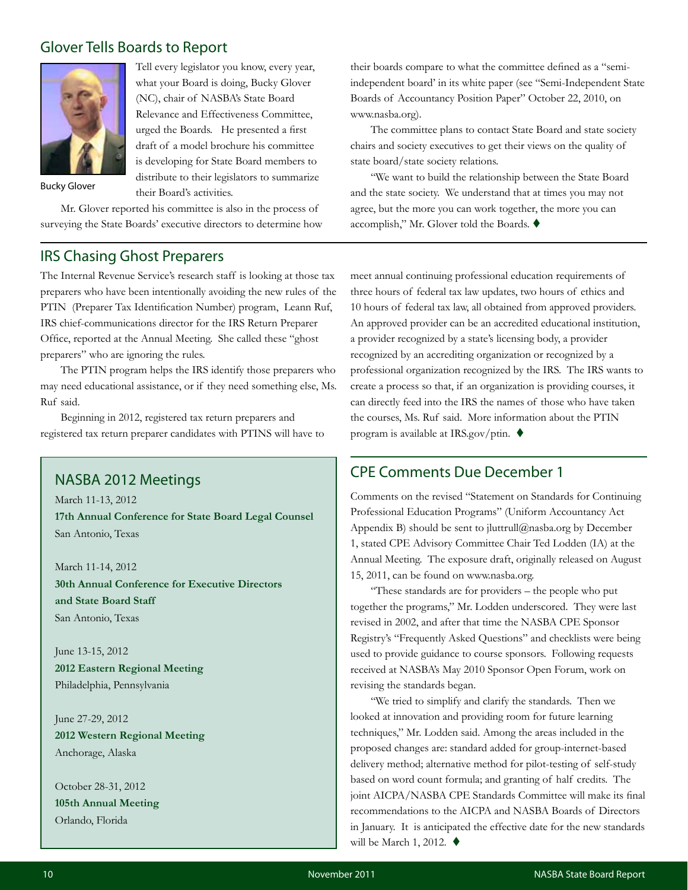### Glover Tells Boards to Report



Tell every legislator you know, every year, what your Board is doing, Bucky Glover (NC), chair of NASBA's State Board Relevance and Effectiveness Committee, urged the Boards. He presented a first draft of a model brochure his committee is developing for State Board members to distribute to their legislators to summarize their Board's activities.

Bucky Glover

Mr. Glover reported his committee is also in the process of surveying the State Boards' executive directors to determine how

### IRS Chasing Ghost Preparers

The Internal Revenue Service's research staff is looking at those tax preparers who have been intentionally avoiding the new rules of the PTIN (Preparer Tax Identification Number) program, Leann Ruf, IRS chief-communications director for the IRS Return Preparer Office, reported at the Annual Meeting. She called these "ghost preparers" who are ignoring the rules.

The PTIN program helps the IRS identify those preparers who may need educational assistance, or if they need something else, Ms. Ruf said.

Beginning in 2012, registered tax return preparers and registered tax return preparer candidates with PTINS will have to

### NASBA 2012 Meetings

March 11-13, 2012 **17th Annual Conference for State Board Legal Counsel** San Antonio, Texas

March 11-14, 2012 **30th Annual Conference for Executive Directors and State Board Staff** San Antonio, Texas

June 13-15, 2012 **2012 Eastern Regional Meeting** Philadelphia, Pennsylvania

June 27-29, 2012 **2012 Western Regional Meeting** Anchorage, Alaska

October 28-31, 2012 **105th Annual Meeting** Orlando, Florida

their boards compare to what the committee defined as a "semiindependent board' in its white paper (see "Semi-Independent State Boards of Accountancy Position Paper" October 22, 2010, on www.nasba.org).

The committee plans to contact State Board and state society chairs and society executives to get their views on the quality of state board/state society relations.

"We want to build the relationship between the State Board and the state society. We understand that at times you may not agree, but the more you can work together, the more you can accomplish," Mr. Glover told the Boards.  $\blacklozenge$ 

meet annual continuing professional education requirements of three hours of federal tax law updates, two hours of ethics and 10 hours of federal tax law, all obtained from approved providers. An approved provider can be an accredited educational institution, a provider recognized by a state's licensing body, a provider recognized by an accrediting organization or recognized by a professional organization recognized by the IRS. The IRS wants to create a process so that, if an organization is providing courses, it can directly feed into the IRS the names of those who have taken the courses, Ms. Ruf said. More information about the PTIN program is available at IRS.gov/ptin.  $\blacklozenge$ 

### CPE Comments Due December 1

Comments on the revised "Statement on Standards for Continuing Professional Education Programs" (Uniform Accountancy Act Appendix B) should be sent to jluttrull@nasba.org by December 1, stated CPE Advisory Committee Chair Ted Lodden (IA) at the Annual Meeting. The exposure draft, originally released on August 15, 2011, can be found on www.nasba.org.

"These standards are for providers – the people who put together the programs," Mr. Lodden underscored. They were last revised in 2002, and after that time the NASBA CPE Sponsor Registry's "Frequently Asked Questions" and checklists were being used to provide guidance to course sponsors. Following requests received at NASBA's May 2010 Sponsor Open Forum, work on revising the standards began.

"We tried to simplify and clarify the standards. Then we looked at innovation and providing room for future learning techniques," Mr. Lodden said. Among the areas included in the proposed changes are: standard added for group-internet-based delivery method; alternative method for pilot-testing of self-study based on word count formula; and granting of half credits. The joint AICPA/NASBA CPE Standards Committee will make its final recommendations to the AICPA and NASBA Boards of Directors in January. It is anticipated the effective date for the new standards will be March 1, 2012.  $\blacklozenge$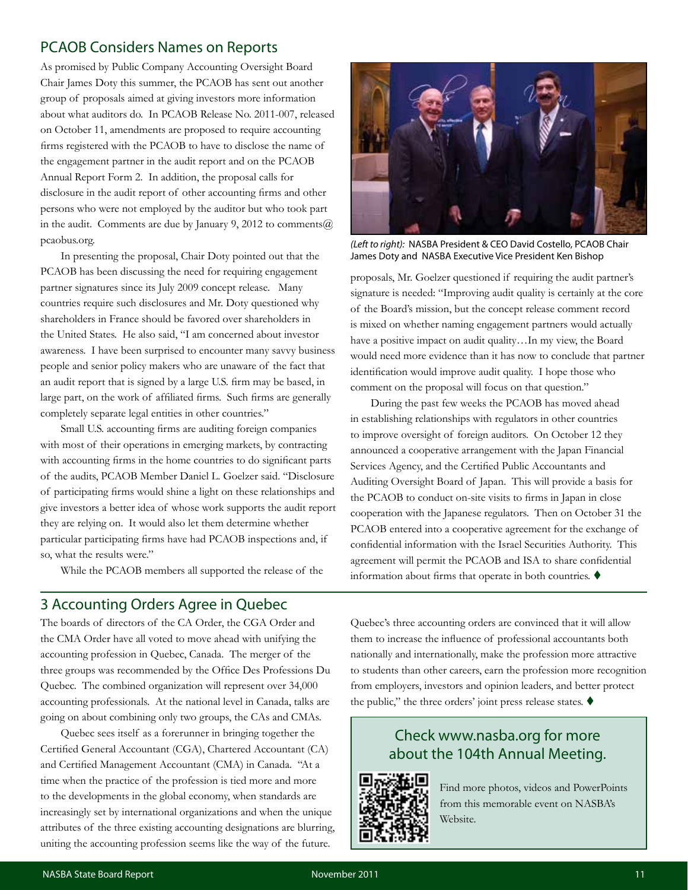### PCAOB Considers Names on Reports

As promised by Public Company Accounting Oversight Board Chair James Doty this summer, the PCAOB has sent out another group of proposals aimed at giving investors more information about what auditors do. In PCAOB Release No. 2011-007, released on October 11, amendments are proposed to require accounting firms registered with the PCAOB to have to disclose the name of the engagement partner in the audit report and on the PCAOB Annual Report Form 2. In addition, the proposal calls for disclosure in the audit report of other accounting firms and other persons who were not employed by the auditor but who took part in the audit. Comments are due by January 9, 2012 to comments $(a)$ pcaobus.org.

In presenting the proposal, Chair Doty pointed out that the PCAOB has been discussing the need for requiring engagement partner signatures since its July 2009 concept release. Many countries require such disclosures and Mr. Doty questioned why shareholders in France should be favored over shareholders in the United States. He also said, "I am concerned about investor awareness. I have been surprised to encounter many savvy business people and senior policy makers who are unaware of the fact that an audit report that is signed by a large U.S. firm may be based, in large part, on the work of affiliated firms. Such firms are generally completely separate legal entities in other countries."

Small U.S. accounting firms are auditing foreign companies with most of their operations in emerging markets, by contracting with accounting firms in the home countries to do significant parts of the audits, PCAOB Member Daniel L. Goelzer said. "Disclosure of participating firms would shine a light on these relationships and give investors a better idea of whose work supports the audit report they are relying on. It would also let them determine whether particular participating firms have had PCAOB inspections and, if so, what the results were."

While the PCAOB members all supported the release of the



*(Left to right):* NASBA President & CEO David Costello, PCAOB Chair James Doty and NASBA Executive Vice President Ken Bishop

proposals, Mr. Goelzer questioned if requiring the audit partner's signature is needed: "Improving audit quality is certainly at the core of the Board's mission, but the concept release comment record is mixed on whether naming engagement partners would actually have a positive impact on audit quality…In my view, the Board would need more evidence than it has now to conclude that partner identification would improve audit quality. I hope those who comment on the proposal will focus on that question."

During the past few weeks the PCAOB has moved ahead in establishing relationships with regulators in other countries to improve oversight of foreign auditors. On October 12 they announced a cooperative arrangement with the Japan Financial Services Agency, and the Certified Public Accountants and Auditing Oversight Board of Japan. This will provide a basis for the PCAOB to conduct on-site visits to firms in Japan in close cooperation with the Japanese regulators. Then on October 31 the PCAOB entered into a cooperative agreement for the exchange of confidential information with the Israel Securities Authority. This agreement will permit the PCAOB and ISA to share confidential information about firms that operate in both countries.  $\blacklozenge$ 

### 3 Accounting Orders Agree in Quebec

The boards of directors of the CA Order, the CGA Order and the CMA Order have all voted to move ahead with unifying the accounting profession in Quebec, Canada. The merger of the three groups was recommended by the Office Des Professions Du Quebec. The combined organization will represent over 34,000 accounting professionals. At the national level in Canada, talks are going on about combining only two groups, the CAs and CMAs.

Quebec sees itself as a forerunner in bringing together the Certified General Accountant (CGA), Chartered Accountant (CA) and Certified Management Accountant (CMA) in Canada. "At a time when the practice of the profession is tied more and more to the developments in the global economy, when standards are increasingly set by international organizations and when the unique attributes of the three existing accounting designations are blurring, uniting the accounting profession seems like the way of the future.

Quebec's three accounting orders are convinced that it will allow them to increase the influence of professional accountants both nationally and internationally, make the profession more attractive to students than other careers, earn the profession more recognition from employers, investors and opinion leaders, and better protect the public," the three orders' joint press release states.  $\blacklozenge$ 

## Check www.nasba.org for more about the 104th Annual Meeting.



Find more photos, videos and PowerPoints from this memorable event on NASBA's Website.